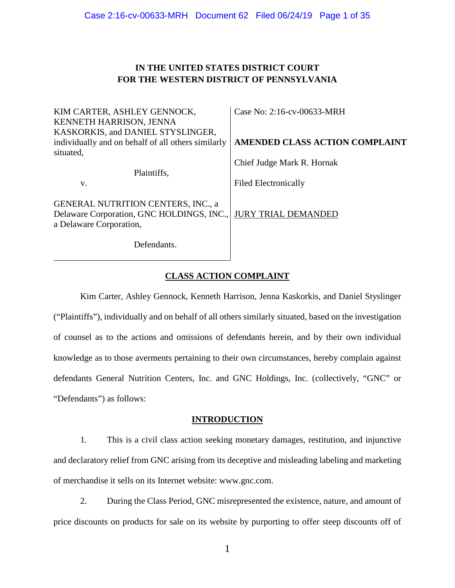# **IN THE UNITED STATES DISTRICT COURT FOR THE WESTERN DISTRICT OF PENNSYLVANIA**

| KIM CARTER, ASHLEY GENNOCK,<br><b>KENNETH HARRISON, JENNA</b>                                                     | Case No: 2:16-cv-00633-MRH     |  |
|-------------------------------------------------------------------------------------------------------------------|--------------------------------|--|
| KASKORKIS, and DANIEL STYSLINGER,<br>individually and on behalf of all others similarly<br>situated,              | AMENDED CLASS ACTION COMPLAINT |  |
| Plaintiffs,                                                                                                       | Chief Judge Mark R. Hornak     |  |
| V.                                                                                                                | <b>Filed Electronically</b>    |  |
| <b>GENERAL NUTRITION CENTERS, INC., a</b><br>Delaware Corporation, GNC HOLDINGS, INC.,<br>a Delaware Corporation, | <b>JURY TRIAL DEMANDED</b>     |  |
| Defendants.                                                                                                       |                                |  |

# **CLASS ACTION COMPLAINT**

Kim Carter, Ashley Gennock, Kenneth Harrison, Jenna Kaskorkis, and Daniel Styslinger ("Plaintiffs"), individually and on behalf of all others similarly situated, based on the investigation of counsel as to the actions and omissions of defendants herein, and by their own individual knowledge as to those averments pertaining to their own circumstances, hereby complain against defendants General Nutrition Centers, Inc. and GNC Holdings, Inc. (collectively, "GNC" or "Defendants") as follows:

### **INTRODUCTION**

1. This is a civil class action seeking monetary damages, restitution, and injunctive and declaratory relief from GNC arising from its deceptive and misleading labeling and marketing of merchandise it sells on its Internet website: www.gnc.com.

2. During the Class Period, GNC misrepresented the existence, nature, and amount of price discounts on products for sale on its website by purporting to offer steep discounts off of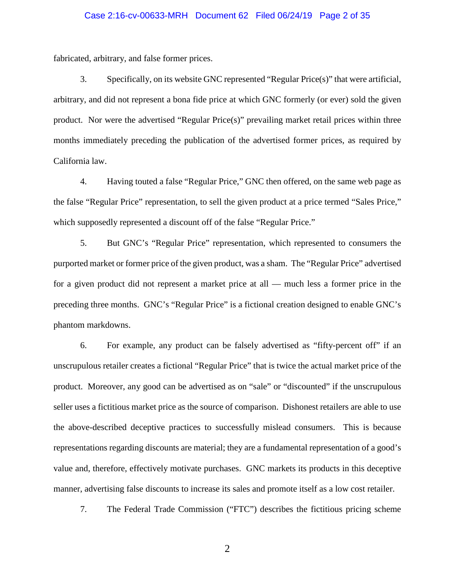### Case 2:16-cv-00633-MRH Document 62 Filed 06/24/19 Page 2 of 35

fabricated, arbitrary, and false former prices.

3. Specifically, on its website GNC represented "Regular Price(s)" that were artificial, arbitrary, and did not represent a bona fide price at which GNC formerly (or ever) sold the given product. Nor were the advertised "Regular Price(s)" prevailing market retail prices within three months immediately preceding the publication of the advertised former prices, as required by California law.

4. Having touted a false "Regular Price," GNC then offered, on the same web page as the false "Regular Price" representation, to sell the given product at a price termed "Sales Price," which supposedly represented a discount off of the false "Regular Price."

5. But GNC's "Regular Price" representation, which represented to consumers the purported market or former price of the given product, was a sham. The "Regular Price" advertised for a given product did not represent a market price at all — much less a former price in the preceding three months. GNC's "Regular Price" is a fictional creation designed to enable GNC's phantom markdowns.

6. For example, any product can be falsely advertised as "fifty-percent off" if an unscrupulous retailer creates a fictional "Regular Price" that is twice the actual market price of the product. Moreover, any good can be advertised as on "sale" or "discounted" if the unscrupulous seller uses a fictitious market price as the source of comparison. Dishonest retailers are able to use the above-described deceptive practices to successfully mislead consumers. This is because representations regarding discounts are material; they are a fundamental representation of a good's value and, therefore, effectively motivate purchases. GNC markets its products in this deceptive manner, advertising false discounts to increase its sales and promote itself as a low cost retailer.

7. The Federal Trade Commission ("FTC") describes the fictitious pricing scheme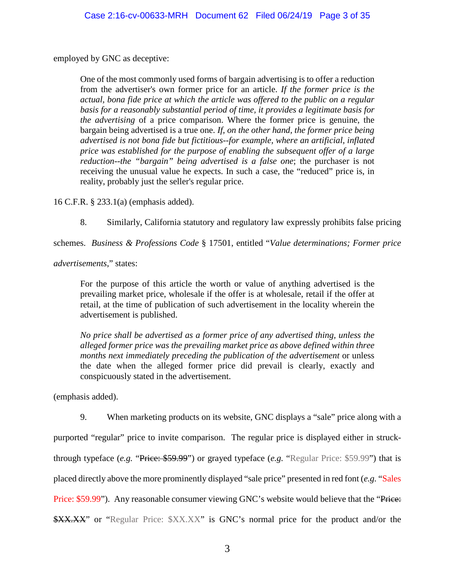employed by GNC as deceptive:

One of the most commonly used forms of bargain advertising is to offer a reduction from the advertiser's own former price for an article. *If the former price is the actual, bona fide price at which the article was offered to the public on a regular basis for a reasonably substantial period of time, it provides a legitimate basis for the advertising* of a price comparison. Where the former price is genuine, the bargain being advertised is a true one. *If, on the other hand, the former price being advertised is not bona fide but fictitious--for example, where an artificial, inflated price was established for the purpose of enabling the subsequent offer of a large reduction--the "bargain" being advertised is a false one*; the purchaser is not receiving the unusual value he expects. In such a case, the "reduced" price is, in reality, probably just the seller's regular price.

16 C.F.R. § 233.1(a) (emphasis added).

8. Similarly, California statutory and regulatory law expressly prohibits false pricing

schemes. *Business & Professions Code* § 17501, entitled "*Value determinations; Former price* 

*advertisements*," states:

For the purpose of this article the worth or value of anything advertised is the prevailing market price, wholesale if the offer is at wholesale, retail if the offer at retail, at the time of publication of such advertisement in the locality wherein the advertisement is published.

*No price shall be advertised as a former price of any advertised thing, unless the alleged former price was the prevailing market price as above defined within three months next immediately preceding the publication of the advertisement* or unless the date when the alleged former price did prevail is clearly, exactly and conspicuously stated in the advertisement.

(emphasis added).

9. When marketing products on its website, GNC displays a "sale" price along with a purported "regular" price to invite comparison. The regular price is displayed either in struckthrough typeface (*e.g.* "Price: \$59.99") or grayed typeface (*e.g.* "Regular Price: \$59.99") that is placed directly above the more prominently displayed "sale price" presented in red font (*e.g.* "Sales Price: \$59.99"). Any reasonable consumer viewing GNC's website would believe that the "Price: \$XX.XX" or "Regular Price: \$XX.XX" is GNC's normal price for the product and/or the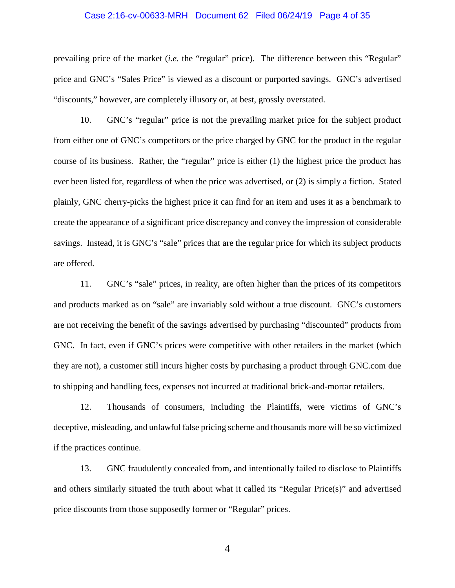### Case 2:16-cv-00633-MRH Document 62 Filed 06/24/19 Page 4 of 35

prevailing price of the market (*i.e.* the "regular" price). The difference between this "Regular" price and GNC's "Sales Price" is viewed as a discount or purported savings. GNC's advertised "discounts," however, are completely illusory or, at best, grossly overstated.

10. GNC's "regular" price is not the prevailing market price for the subject product from either one of GNC's competitors or the price charged by GNC for the product in the regular course of its business. Rather, the "regular" price is either (1) the highest price the product has ever been listed for, regardless of when the price was advertised, or (2) is simply a fiction. Stated plainly, GNC cherry-picks the highest price it can find for an item and uses it as a benchmark to create the appearance of a significant price discrepancy and convey the impression of considerable savings. Instead, it is GNC's "sale" prices that are the regular price for which its subject products are offered.

11. GNC's "sale" prices, in reality, are often higher than the prices of its competitors and products marked as on "sale" are invariably sold without a true discount. GNC's customers are not receiving the benefit of the savings advertised by purchasing "discounted" products from GNC. In fact, even if GNC's prices were competitive with other retailers in the market (which they are not), a customer still incurs higher costs by purchasing a product through GNC.com due to shipping and handling fees, expenses not incurred at traditional brick-and-mortar retailers.

12. Thousands of consumers, including the Plaintiffs, were victims of GNC's deceptive, misleading, and unlawful false pricing scheme and thousands more will be so victimized if the practices continue.

13. GNC fraudulently concealed from, and intentionally failed to disclose to Plaintiffs and others similarly situated the truth about what it called its "Regular Price(s)" and advertised price discounts from those supposedly former or "Regular" prices.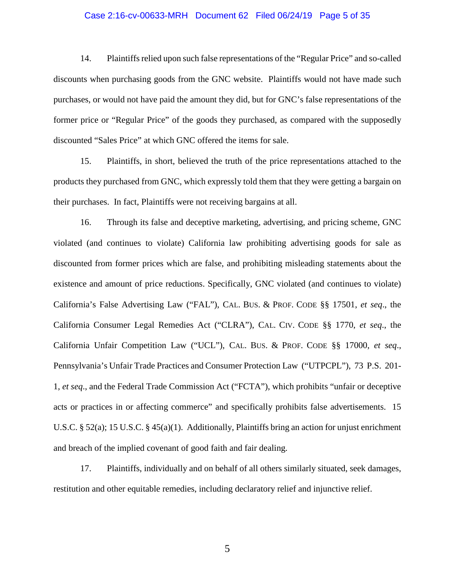### Case 2:16-cv-00633-MRH Document 62 Filed 06/24/19 Page 5 of 35

14. Plaintiffsrelied upon such false representations of the "Regular Price" and so-called discounts when purchasing goods from the GNC website. Plaintiffs would not have made such purchases, or would not have paid the amount they did, but for GNC's false representations of the former price or "Regular Price" of the goods they purchased, as compared with the supposedly discounted "Sales Price" at which GNC offered the items for sale.

15. Plaintiffs, in short, believed the truth of the price representations attached to the products they purchased from GNC, which expressly told them that they were getting a bargain on their purchases. In fact, Plaintiffs were not receiving bargains at all.

16. Through its false and deceptive marketing, advertising, and pricing scheme, GNC violated (and continues to violate) California law prohibiting advertising goods for sale as discounted from former prices which are false, and prohibiting misleading statements about the existence and amount of price reductions. Specifically, GNC violated (and continues to violate) California's False Advertising Law ("FAL"), CAL. BUS. & PROF. CODE §§ 17501, *et seq*., the California Consumer Legal Remedies Act ("CLRA"), CAL. CIV. CODE §§ 1770, *et seq*., the California Unfair Competition Law ("UCL"), CAL. BUS. & PROF. CODE §§ 17000, *et seq*., Pennsylvania's Unfair Trade Practices and Consumer Protection Law ("UTPCPL"), 73 P.S. 201- 1, *et seq*., and the Federal Trade Commission Act ("FCTA"), which prohibits "unfair or deceptive acts or practices in or affecting commerce" and specifically prohibits false advertisements. 15 U.S.C. § 52(a); 15 U.S.C. § 45(a)(1). Additionally, Plaintiffs bring an action for unjust enrichment and breach of the implied covenant of good faith and fair dealing.

17. Plaintiffs, individually and on behalf of all others similarly situated, seek damages, restitution and other equitable remedies, including declaratory relief and injunctive relief.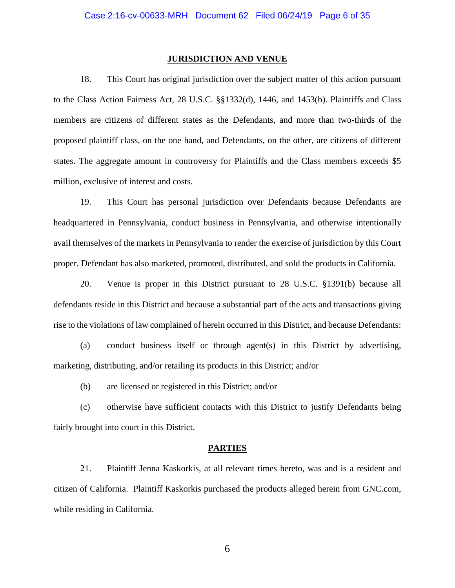### **JURISDICTION AND VENUE**

18. This Court has original jurisdiction over the subject matter of this action pursuant to the Class Action Fairness Act, 28 U.S.C. §§1332(d), 1446, and 1453(b). Plaintiffs and Class members are citizens of different states as the Defendants, and more than two-thirds of the proposed plaintiff class, on the one hand, and Defendants, on the other, are citizens of different states. The aggregate amount in controversy for Plaintiffs and the Class members exceeds \$5 million, exclusive of interest and costs.

19. This Court has personal jurisdiction over Defendants because Defendants are headquartered in Pennsylvania, conduct business in Pennsylvania, and otherwise intentionally avail themselves of the markets in Pennsylvania to render the exercise of jurisdiction by this Court proper. Defendant has also marketed, promoted, distributed, and sold the products in California.

20. Venue is proper in this District pursuant to 28 U.S.C. §1391(b) because all defendants reside in this District and because a substantial part of the acts and transactions giving rise to the violations of law complained of herein occurred in this District, and because Defendants:

(a) conduct business itself or through agent(s) in this District by advertising, marketing, distributing, and/or retailing its products in this District; and/or

(b) are licensed or registered in this District; and/or

(c) otherwise have sufficient contacts with this District to justify Defendants being fairly brought into court in this District.

#### **PARTIES**

21. Plaintiff Jenna Kaskorkis, at all relevant times hereto, was and is a resident and citizen of California. Plaintiff Kaskorkis purchased the products alleged herein from GNC.com, while residing in California.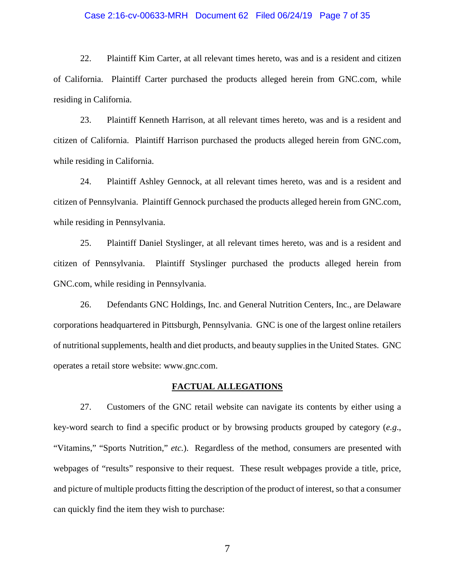### Case 2:16-cv-00633-MRH Document 62 Filed 06/24/19 Page 7 of 35

22. Plaintiff Kim Carter, at all relevant times hereto, was and is a resident and citizen of California. Plaintiff Carter purchased the products alleged herein from GNC.com, while residing in California.

23. Plaintiff Kenneth Harrison, at all relevant times hereto, was and is a resident and citizen of California. Plaintiff Harrison purchased the products alleged herein from GNC.com, while residing in California.

24. Plaintiff Ashley Gennock, at all relevant times hereto, was and is a resident and citizen of Pennsylvania. Plaintiff Gennock purchased the products alleged herein from GNC.com, while residing in Pennsylvania.

25. Plaintiff Daniel Styslinger, at all relevant times hereto, was and is a resident and citizen of Pennsylvania. Plaintiff Styslinger purchased the products alleged herein from GNC.com, while residing in Pennsylvania.

26. Defendants GNC Holdings, Inc. and General Nutrition Centers, Inc., are Delaware corporations headquartered in Pittsburgh, Pennsylvania. GNC is one of the largest online retailers of nutritional supplements, health and diet products, and beauty supplies in the United States. GNC operates a retail store website: www.gnc.com.

#### **FACTUAL ALLEGATIONS**

27. Customers of the GNC retail website can navigate its contents by either using a key-word search to find a specific product or by browsing products grouped by category (*e.g*., "Vitamins," "Sports Nutrition," *etc.*). Regardless of the method, consumers are presented with webpages of "results" responsive to their request. These result webpages provide a title, price, and picture of multiple products fitting the description of the product of interest, so that a consumer can quickly find the item they wish to purchase: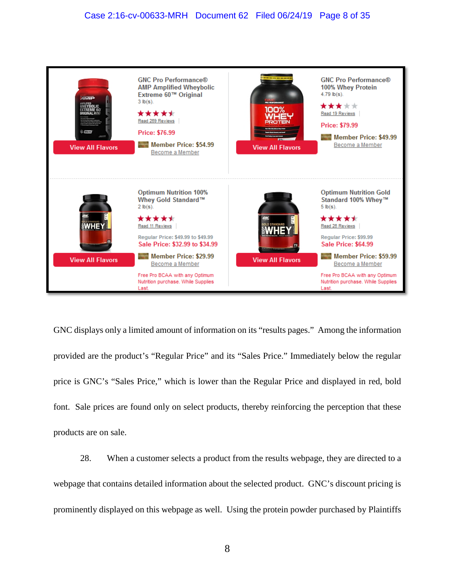### Case 2:16-cv-00633-MRH Document 62 Filed 06/24/19 Page 8 of 35



GNC displays only a limited amount of information on its "results pages." Among the information provided are the product's "Regular Price" and its "Sales Price." Immediately below the regular price is GNC's "Sales Price," which is lower than the Regular Price and displayed in red, bold font. Sale prices are found only on select products, thereby reinforcing the perception that these products are on sale.

28. When a customer selects a product from the results webpage, they are directed to a webpage that contains detailed information about the selected product. GNC's discount pricing is prominently displayed on this webpage as well. Using the protein powder purchased by Plaintiffs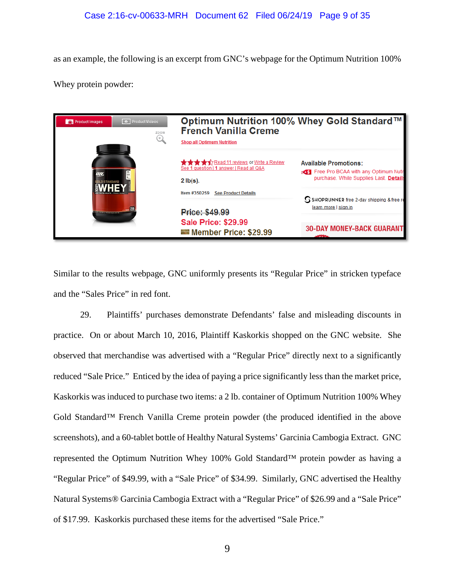as an example, the following is an excerpt from GNC's webpage for the Optimum Nutrition 100%

Whey protein powder:

| <b>O</b> ProductVideos<br>O Product Images<br>ZOOM<br>$\left( \pm \right)$ | Optimum Nutrition 100% Whey Gold Standard™<br><b>French Vanilla Creme</b><br><b>Shop all Optimum Nutrition</b>                                                                                                                                                                                 |                                                                                                                          |
|----------------------------------------------------------------------------|------------------------------------------------------------------------------------------------------------------------------------------------------------------------------------------------------------------------------------------------------------------------------------------------|--------------------------------------------------------------------------------------------------------------------------|
| 蕊<br><b>SOLD STANDARD</b><br><b>WE EXPERIENCE A POWER DAMAGE.</b>          | <b>The Secret State of The Secret State of Secret State Secret State Secret State Secret State Secret State Secret State Secret State Secret State Secret State Secret State Secret State Secret State Secret State State State </b><br>See 1 question   1 answer   Read all Q&A<br>$2$ lb(s). | <b>Available Promotions:</b><br><b>OST</b> Free Pro BCAA with any Optimum Nutr<br>purchase. While Supplies Last. Details |
|                                                                            | Item #350259<br><b>See Product Details</b><br><b>Price: \$49.99</b>                                                                                                                                                                                                                            | SSHOPRUNNER free 2-day shipping & free re<br>learn more   sign in                                                        |
|                                                                            | <b>Sale Price: \$29.99</b><br>Member Price: \$29.99                                                                                                                                                                                                                                            | <b>30-DAY MONEY-BACK GUARANT</b><br>$  -$                                                                                |

Similar to the results webpage, GNC uniformly presents its "Regular Price" in stricken typeface and the "Sales Price" in red font.

29. Plaintiffs' purchases demonstrate Defendants' false and misleading discounts in practice. On or about March 10, 2016, Plaintiff Kaskorkis shopped on the GNC website. She observed that merchandise was advertised with a "Regular Price" directly next to a significantly reduced "Sale Price." Enticed by the idea of paying a price significantly less than the market price, Kaskorkis was induced to purchase two items: a 2 lb. container of Optimum Nutrition 100% Whey Gold Standard™ French Vanilla Creme protein powder (the produced identified in the above screenshots), and a 60-tablet bottle of Healthy Natural Systems' Garcinia Cambogia Extract. GNC represented the Optimum Nutrition Whey 100% Gold Standard™ protein powder as having a "Regular Price" of \$49.99, with a "Sale Price" of \$34.99. Similarly, GNC advertised the Healthy Natural Systems® Garcinia Cambogia Extract with a "Regular Price" of \$26.99 and a "Sale Price" of \$17.99. Kaskorkis purchased these items for the advertised "Sale Price."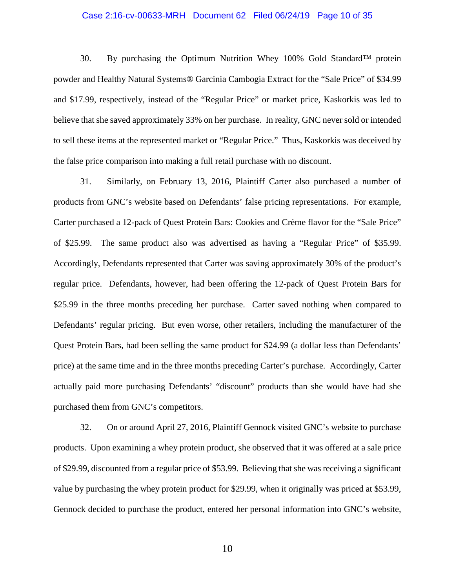### Case 2:16-cv-00633-MRH Document 62 Filed 06/24/19 Page 10 of 35

30. By purchasing the Optimum Nutrition Whey 100% Gold Standard<sup>TM</sup> protein powder and Healthy Natural Systems® Garcinia Cambogia Extract for the "Sale Price" of \$34.99 and \$17.99, respectively, instead of the "Regular Price" or market price, Kaskorkis was led to believe that she saved approximately 33% on her purchase. In reality, GNC never sold or intended to sell these items at the represented market or "Regular Price." Thus, Kaskorkis was deceived by the false price comparison into making a full retail purchase with no discount.

31. Similarly, on February 13, 2016, Plaintiff Carter also purchased a number of products from GNC's website based on Defendants' false pricing representations. For example, Carter purchased a 12-pack of Quest Protein Bars: Cookies and Crème flavor for the "Sale Price" of \$25.99. The same product also was advertised as having a "Regular Price" of \$35.99. Accordingly, Defendants represented that Carter was saving approximately 30% of the product's regular price. Defendants, however, had been offering the 12-pack of Quest Protein Bars for \$25.99 in the three months preceding her purchase. Carter saved nothing when compared to Defendants' regular pricing. But even worse, other retailers, including the manufacturer of the Quest Protein Bars, had been selling the same product for \$24.99 (a dollar less than Defendants' price) at the same time and in the three months preceding Carter's purchase. Accordingly, Carter actually paid more purchasing Defendants' "discount" products than she would have had she purchased them from GNC's competitors.

32. On or around April 27, 2016, Plaintiff Gennock visited GNC's website to purchase products. Upon examining a whey protein product, she observed that it was offered at a sale price of \$29.99, discounted from a regular price of \$53.99. Believing that she was receiving a significant value by purchasing the whey protein product for \$29.99, when it originally was priced at \$53.99, Gennock decided to purchase the product, entered her personal information into GNC's website,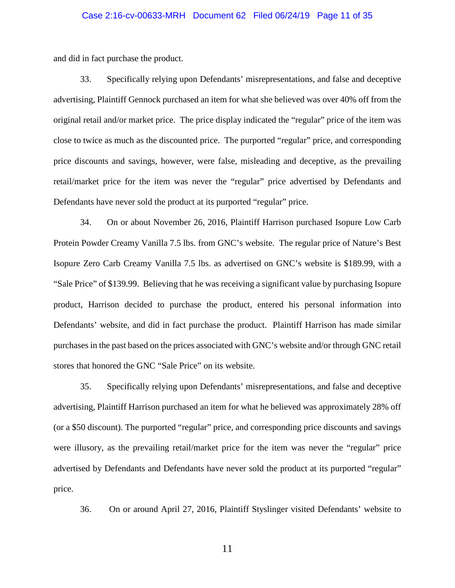### Case 2:16-cv-00633-MRH Document 62 Filed 06/24/19 Page 11 of 35

and did in fact purchase the product.

33. Specifically relying upon Defendants' misrepresentations, and false and deceptive advertising, Plaintiff Gennock purchased an item for what she believed was over 40% off from the original retail and/or market price. The price display indicated the "regular" price of the item was close to twice as much as the discounted price. The purported "regular" price, and corresponding price discounts and savings, however, were false, misleading and deceptive, as the prevailing retail/market price for the item was never the "regular" price advertised by Defendants and Defendants have never sold the product at its purported "regular" price.

34. On or about November 26, 2016, Plaintiff Harrison purchased Isopure Low Carb Protein Powder Creamy Vanilla 7.5 lbs. from GNC's website. The regular price of Nature's Best Isopure Zero Carb Creamy Vanilla 7.5 lbs. as advertised on GNC's website is \$189.99, with a "Sale Price" of \$139.99. Believing that he was receiving a significant value by purchasing Isopure product, Harrison decided to purchase the product, entered his personal information into Defendants' website, and did in fact purchase the product. Plaintiff Harrison has made similar purchases in the past based on the prices associated with GNC's website and/or through GNC retail stores that honored the GNC "Sale Price" on its website.

35. Specifically relying upon Defendants' misrepresentations, and false and deceptive advertising, Plaintiff Harrison purchased an item for what he believed was approximately 28% off (or a \$50 discount). The purported "regular" price, and corresponding price discounts and savings were illusory, as the prevailing retail/market price for the item was never the "regular" price advertised by Defendants and Defendants have never sold the product at its purported "regular" price.

36. On or around April 27, 2016, Plaintiff Styslinger visited Defendants' website to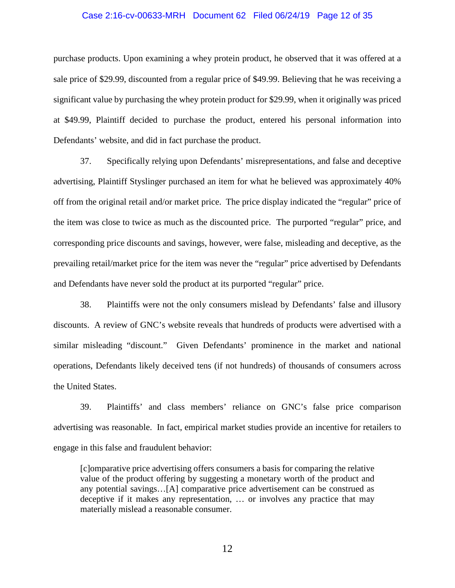#### Case 2:16-cv-00633-MRH Document 62 Filed 06/24/19 Page 12 of 35

purchase products. Upon examining a whey protein product, he observed that it was offered at a sale price of \$29.99, discounted from a regular price of \$49.99. Believing that he was receiving a significant value by purchasing the whey protein product for \$29.99, when it originally was priced at \$49.99, Plaintiff decided to purchase the product, entered his personal information into Defendants' website, and did in fact purchase the product.

37. Specifically relying upon Defendants' misrepresentations, and false and deceptive advertising, Plaintiff Styslinger purchased an item for what he believed was approximately 40% off from the original retail and/or market price. The price display indicated the "regular" price of the item was close to twice as much as the discounted price. The purported "regular" price, and corresponding price discounts and savings, however, were false, misleading and deceptive, as the prevailing retail/market price for the item was never the "regular" price advertised by Defendants and Defendants have never sold the product at its purported "regular" price.

38. Plaintiffs were not the only consumers mislead by Defendants' false and illusory discounts. A review of GNC's website reveals that hundreds of products were advertised with a similar misleading "discount." Given Defendants' prominence in the market and national operations, Defendants likely deceived tens (if not hundreds) of thousands of consumers across the United States.

39. Plaintiffs' and class members' reliance on GNC's false price comparison advertising was reasonable. In fact, empirical market studies provide an incentive for retailers to engage in this false and fraudulent behavior:

[c]omparative price advertising offers consumers a basis for comparing the relative value of the product offering by suggesting a monetary worth of the product and any potential savings…[A] comparative price advertisement can be construed as deceptive if it makes any representation, … or involves any practice that may materially mislead a reasonable consumer.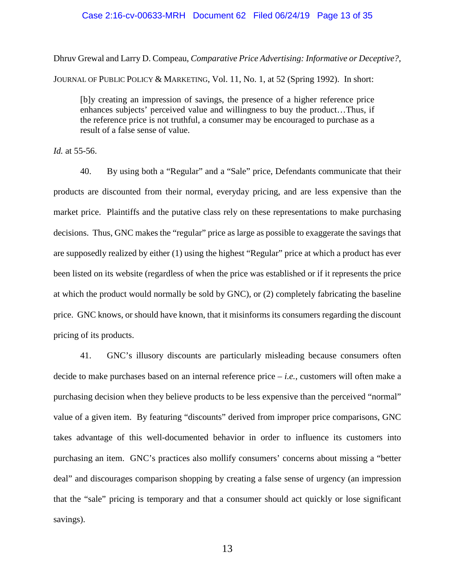### Case 2:16-cv-00633-MRH Document 62 Filed 06/24/19 Page 13 of 35

Dhruv Grewal and Larry D. Compeau, *Comparative Price Advertising: Informative or Deceptive?*, JOURNAL OF PUBLIC POLICY & MARKETING, Vol. 11, No. 1, at 52 (Spring 1992). In short:

[b]y creating an impression of savings, the presence of a higher reference price enhances subjects' perceived value and willingness to buy the product…Thus, if the reference price is not truthful, a consumer may be encouraged to purchase as a result of a false sense of value.

*Id.* at 55-56.

40. By using both a "Regular" and a "Sale" price, Defendants communicate that their products are discounted from their normal, everyday pricing, and are less expensive than the market price. Plaintiffs and the putative class rely on these representations to make purchasing decisions. Thus, GNC makes the "regular" price as large as possible to exaggerate the savings that are supposedly realized by either (1) using the highest "Regular" price at which a product has ever been listed on its website (regardless of when the price was established or if it represents the price at which the product would normally be sold by GNC), or (2) completely fabricating the baseline price. GNC knows, or should have known, that it misinforms its consumers regarding the discount pricing of its products.

41. GNC's illusory discounts are particularly misleading because consumers often decide to make purchases based on an internal reference price – *i.e.*, customers will often make a purchasing decision when they believe products to be less expensive than the perceived "normal" value of a given item. By featuring "discounts" derived from improper price comparisons, GNC takes advantage of this well-documented behavior in order to influence its customers into purchasing an item. GNC's practices also mollify consumers' concerns about missing a "better deal" and discourages comparison shopping by creating a false sense of urgency (an impression that the "sale" pricing is temporary and that a consumer should act quickly or lose significant savings).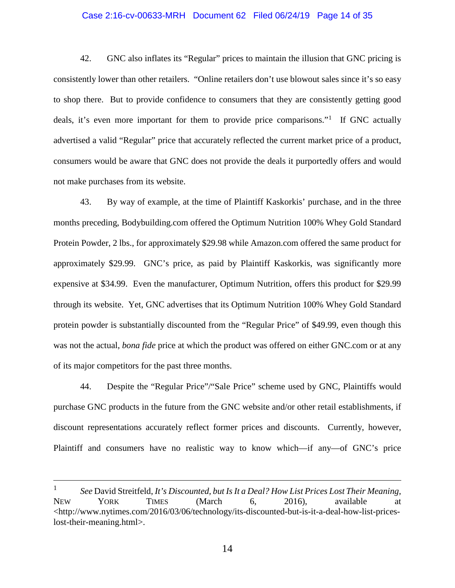### Case 2:16-cv-00633-MRH Document 62 Filed 06/24/19 Page 14 of 35

42. GNC also inflates its "Regular" prices to maintain the illusion that GNC pricing is consistently lower than other retailers. "Online retailers don't use blowout sales since it's so easy to shop there. But to provide confidence to consumers that they are consistently getting good deals, it's even more important for them to provide price comparisons."<sup>[1](#page-13-0)</sup> If GNC actually advertised a valid "Regular" price that accurately reflected the current market price of a product, consumers would be aware that GNC does not provide the deals it purportedly offers and would not make purchases from its website.

43. By way of example, at the time of Plaintiff Kaskorkis' purchase, and in the three months preceding, Bodybuilding.com offered the Optimum Nutrition 100% Whey Gold Standard Protein Powder, 2 lbs., for approximately \$29.98 while Amazon.com offered the same product for approximately \$29.99. GNC's price, as paid by Plaintiff Kaskorkis, was significantly more expensive at \$34.99. Even the manufacturer, Optimum Nutrition, offers this product for \$29.99 through its website. Yet, GNC advertises that its Optimum Nutrition 100% Whey Gold Standard protein powder is substantially discounted from the "Regular Price" of \$49.99, even though this was not the actual, *bona fide* price at which the product was offered on either GNC.com or at any of its major competitors for the past three months.

44. Despite the "Regular Price"/"Sale Price" scheme used by GNC, Plaintiffs would purchase GNC products in the future from the GNC website and/or other retail establishments, if discount representations accurately reflect former prices and discounts. Currently, however, Plaintiff and consumers have no realistic way to know which—if any—of GNC's price

<span id="page-13-0"></span> <sup>1</sup> *See* David Streitfeld, *It's Discounted, but Is It a Deal? How List Prices Lost Their Meaning*, NEW YORK TIMES (March 6, 2016), available at <http://www.nytimes.com/2016/03/06/technology/its-discounted-but-is-it-a-deal-how-list-priceslost-their-meaning.html>.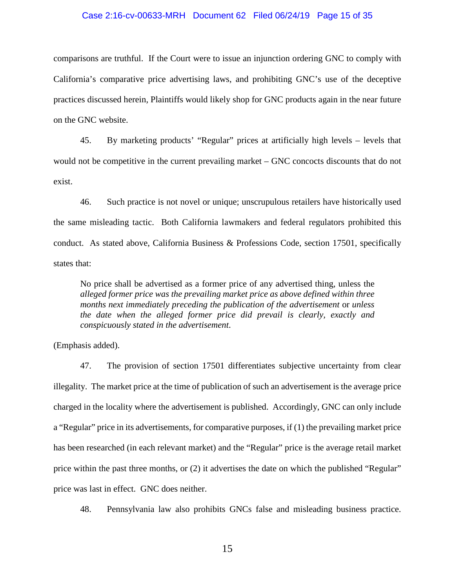#### Case 2:16-cv-00633-MRH Document 62 Filed 06/24/19 Page 15 of 35

comparisons are truthful. If the Court were to issue an injunction ordering GNC to comply with California's comparative price advertising laws, and prohibiting GNC's use of the deceptive practices discussed herein, Plaintiffs would likely shop for GNC products again in the near future on the GNC website.

45. By marketing products' "Regular" prices at artificially high levels – levels that would not be competitive in the current prevailing market – GNC concocts discounts that do not exist.

46. Such practice is not novel or unique; unscrupulous retailers have historically used the same misleading tactic. Both California lawmakers and federal regulators prohibited this conduct. As stated above, California Business & Professions Code, section 17501, specifically states that:

No price shall be advertised as a former price of any advertised thing, unless the *alleged former price was the prevailing market price as above defined within three months next immediately preceding the publication of the advertisement* or *unless the date when the alleged former price did prevail is clearly, exactly and conspicuously stated in the advertisement*.

(Emphasis added).

47. The provision of section 17501 differentiates subjective uncertainty from clear illegality. The market price at the time of publication of such an advertisement is the average price charged in the locality where the advertisement is published. Accordingly, GNC can only include a "Regular" price in its advertisements, for comparative purposes, if (1) the prevailing market price has been researched (in each relevant market) and the "Regular" price is the average retail market price within the past three months, or (2) it advertises the date on which the published "Regular" price was last in effect. GNC does neither.

48. Pennsylvania law also prohibits GNCs false and misleading business practice.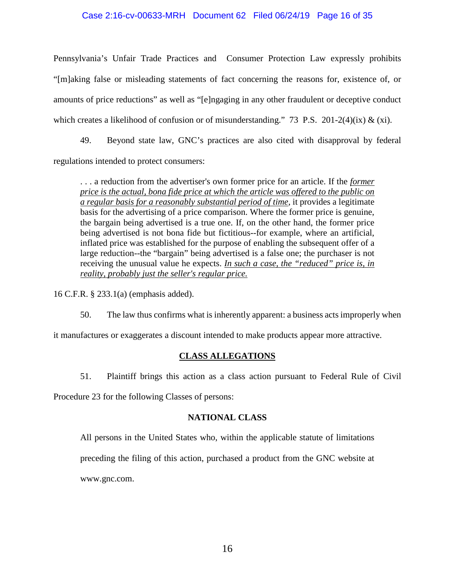### Case 2:16-cv-00633-MRH Document 62 Filed 06/24/19 Page 16 of 35

Pennsylvania's Unfair Trade Practices and Consumer Protection Law expressly prohibits "[m]aking false or misleading statements of fact concerning the reasons for, existence of, or amounts of price reductions" as well as "[e]ngaging in any other fraudulent or deceptive conduct which creates a likelihood of confusion or of misunderstanding." 73 P.S. 201-2(4)(ix) & (xi).

49. Beyond state law, GNC's practices are also cited with disapproval by federal regulations intended to protect consumers:

. . . a reduction from the advertiser's own former price for an article. If the *former price is the actual, bona fide price at which the article was offered to the public on a regular basis for a reasonably substantial period of time*, it provides a legitimate basis for the advertising of a price comparison. Where the former price is genuine, the bargain being advertised is a true one. If, on the other hand, the former price being advertised is not bona fide but fictitious--for example, where an artificial, inflated price was established for the purpose of enabling the subsequent offer of a large reduction--the "bargain" being advertised is a false one; the purchaser is not receiving the unusual value he expects. *In such a case, the "reduced" price is, in reality, probably just the seller's regular price.*

16 C.F.R. § 233.1(a) (emphasis added).

50. The law thus confirms what is inherently apparent: a business acts improperly when

it manufactures or exaggerates a discount intended to make products appear more attractive.

### **CLASS ALLEGATIONS**

51. Plaintiff brings this action as a class action pursuant to Federal Rule of Civil

Procedure 23 for the following Classes of persons:

### **NATIONAL CLASS**

All persons in the United States who, within the applicable statute of limitations

preceding the filing of this action, purchased a product from the GNC website at

www.gnc.com.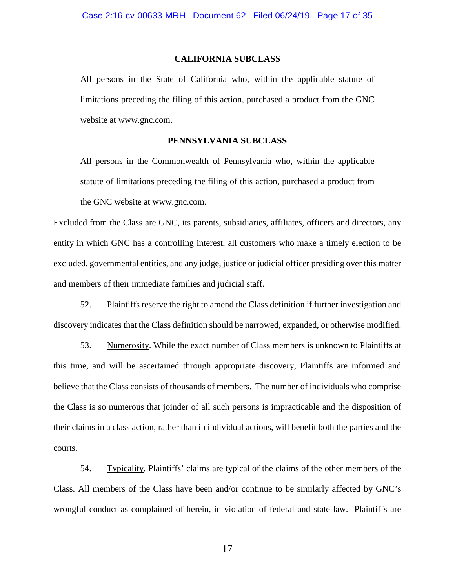#### **CALIFORNIA SUBCLASS**

All persons in the State of California who, within the applicable statute of limitations preceding the filing of this action, purchased a product from the GNC website at www.gnc.com.

### **PENNSYLVANIA SUBCLASS**

All persons in the Commonwealth of Pennsylvania who, within the applicable statute of limitations preceding the filing of this action, purchased a product from the GNC website at www.gnc.com.

Excluded from the Class are GNC, its parents, subsidiaries, affiliates, officers and directors, any entity in which GNC has a controlling interest, all customers who make a timely election to be excluded, governmental entities, and any judge, justice or judicial officer presiding over this matter and members of their immediate families and judicial staff.

52. Plaintiffs reserve the right to amend the Class definition if further investigation and discovery indicates that the Class definition should be narrowed, expanded, or otherwise modified.

53. Numerosity. While the exact number of Class members is unknown to Plaintiffs at this time, and will be ascertained through appropriate discovery, Plaintiffs are informed and believe that the Class consists of thousands of members. The number of individuals who comprise the Class is so numerous that joinder of all such persons is impracticable and the disposition of their claims in a class action, rather than in individual actions, will benefit both the parties and the courts.

54. Typicality. Plaintiffs' claims are typical of the claims of the other members of the Class. All members of the Class have been and/or continue to be similarly affected by GNC's wrongful conduct as complained of herein, in violation of federal and state law. Plaintiffs are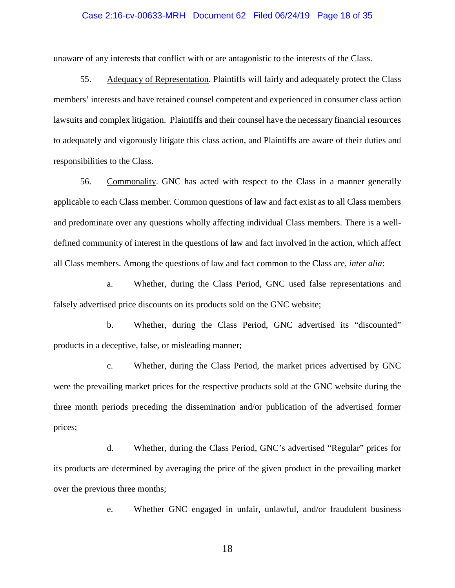### Case 2:16-cv-00633-MRH Document 62 Filed 06/24/19 Page 18 of 35

unaware of any interests that conflict with or are antagonistic to the interests of the Class.

55. Adequacy of Representation. Plaintiffs will fairly and adequately protect the Class members' interests and have retained counsel competent and experienced in consumer class action lawsuits and complex litigation. Plaintiffs and their counsel have the necessary financial resources to adequately and vigorously litigate this class action, and Plaintiffs are aware of their duties and responsibilities to the Class.

56. Commonality. GNC has acted with respect to the Class in a manner generally applicable to each Class member. Common questions of law and fact exist as to all Class members and predominate over any questions wholly affecting individual Class members. There is a welldefined community of interest in the questions of law and fact involved in the action, which affect all Class members. Among the questions of law and fact common to the Class are, *inter alia*:

a. Whether, during the Class Period, GNC used false representations and falsely advertised price discounts on its products sold on the GNC website;

b. Whether, during the Class Period, GNC advertised its "discounted" products in a deceptive, false, or misleading manner;

c. Whether, during the Class Period, the market prices advertised by GNC were the prevailing market prices for the respective products sold at the GNC website during the three month periods preceding the dissemination and/or publication of the advertised former prices;

d. Whether, during the Class Period, GNC's advertised "Regular" prices for its products are determined by averaging the price of the given product in the prevailing market over the previous three months;

e. Whether GNC engaged in unfair, unlawful, and/or fraudulent business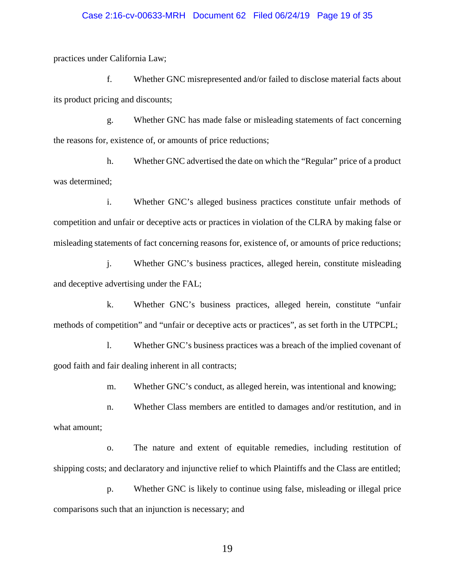### Case 2:16-cv-00633-MRH Document 62 Filed 06/24/19 Page 19 of 35

practices under California Law;

f. Whether GNC misrepresented and/or failed to disclose material facts about its product pricing and discounts;

g. Whether GNC has made false or misleading statements of fact concerning the reasons for, existence of, or amounts of price reductions;

h. Whether GNC advertised the date on which the "Regular" price of a product was determined;

i. Whether GNC's alleged business practices constitute unfair methods of competition and unfair or deceptive acts or practices in violation of the CLRA by making false or misleading statements of fact concerning reasons for, existence of, or amounts of price reductions;

j. Whether GNC's business practices, alleged herein, constitute misleading and deceptive advertising under the FAL;

k. Whether GNC's business practices, alleged herein, constitute "unfair methods of competition" and "unfair or deceptive acts or practices", as set forth in the UTPCPL;

l. Whether GNC's business practices was a breach of the implied covenant of good faith and fair dealing inherent in all contracts;

m. Whether GNC's conduct, as alleged herein, was intentional and knowing;

n. Whether Class members are entitled to damages and/or restitution, and in what amount;

o. The nature and extent of equitable remedies, including restitution of shipping costs; and declaratory and injunctive relief to which Plaintiffs and the Class are entitled;

p. Whether GNC is likely to continue using false, misleading or illegal price comparisons such that an injunction is necessary; and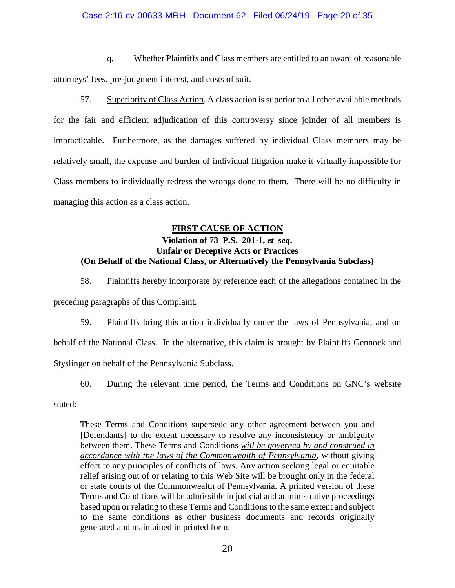### Case 2:16-cv-00633-MRH Document 62 Filed 06/24/19 Page 20 of 35

q. Whether Plaintiffs and Class members are entitled to an award of reasonable attorneys' fees, pre-judgment interest, and costs of suit.

57. Superiority of Class Action. A class action is superior to all other available methods for the fair and efficient adjudication of this controversy since joinder of all members is impracticable. Furthermore, as the damages suffered by individual Class members may be relatively small, the expense and burden of individual litigation make it virtually impossible for Class members to individually redress the wrongs done to them. There will be no difficulty in managing this action as a class action.

### **FIRST CAUSE OF ACTION**

## **Violation of 73 P.S. 201-1,** *et seq***. Unfair or Deceptive Acts or Practices (On Behalf of the National Class, or Alternatively the Pennsylvania Subclass)**

58. Plaintiffs hereby incorporate by reference each of the allegations contained in the preceding paragraphs of this Complaint.

59. Plaintiffs bring this action individually under the laws of Pennsylvania, and on behalf of the National Class. In the alternative, this claim is brought by Plaintiffs Gennock and Styslinger on behalf of the Pennsylvania Subclass.

60. During the relevant time period, the Terms and Conditions on GNC's website

stated:

These Terms and Conditions supersede any other agreement between you and [Defendants] to the extent necessary to resolve any inconsistency or ambiguity between them. These Terms and Conditions *will be governed by and construed in accordance with the laws of the Commonwealth of Pennsylvania*, without giving effect to any principles of conflicts of laws. Any action seeking legal or equitable relief arising out of or relating to this Web Site will be brought only in the federal or state courts of the Commonwealth of Pennsylvania. A printed version of these Terms and Conditions will be admissible in judicial and administrative proceedings based upon or relating to these Terms and Conditions to the same extent and subject to the same conditions as other business documents and records originally generated and maintained in printed form.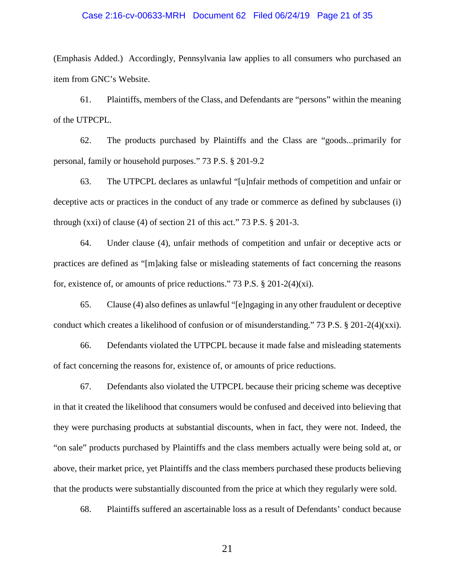### Case 2:16-cv-00633-MRH Document 62 Filed 06/24/19 Page 21 of 35

(Emphasis Added.) Accordingly, Pennsylvania law applies to all consumers who purchased an item from GNC's Website.

61. Plaintiffs, members of the Class, and Defendants are "persons" within the meaning of the UTPCPL.

62. The products purchased by Plaintiffs and the Class are "goods...primarily for personal, family or household purposes." 73 P.S. § 201-9.2

63. The UTPCPL declares as unlawful "[u]nfair methods of competition and unfair or deceptive acts or practices in the conduct of any trade or commerce as defined by subclauses (i) through (xxi) of clause (4) of section 21 of this act." 73 P.S.  $\S$  201-3.

64. Under clause (4), unfair methods of competition and unfair or deceptive acts or practices are defined as "[m]aking false or misleading statements of fact concerning the reasons for, existence of, or amounts of price reductions." 73 P.S. § 201-2(4)(xi).

65. Clause (4) also defines as unlawful "[e]ngaging in any other fraudulent or deceptive conduct which creates a likelihood of confusion or of misunderstanding." 73 P.S. § 201-2(4)(xxi).

66. Defendants violated the UTPCPL because it made false and misleading statements of fact concerning the reasons for, existence of, or amounts of price reductions.

67. Defendants also violated the UTPCPL because their pricing scheme was deceptive in that it created the likelihood that consumers would be confused and deceived into believing that they were purchasing products at substantial discounts, when in fact, they were not. Indeed, the "on sale" products purchased by Plaintiffs and the class members actually were being sold at, or above, their market price, yet Plaintiffs and the class members purchased these products believing that the products were substantially discounted from the price at which they regularly were sold.

68. Plaintiffs suffered an ascertainable loss as a result of Defendants' conduct because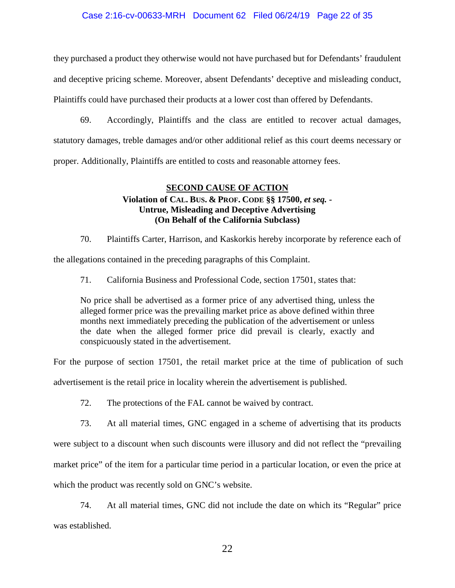### Case 2:16-cv-00633-MRH Document 62 Filed 06/24/19 Page 22 of 35

they purchased a product they otherwise would not have purchased but for Defendants' fraudulent and deceptive pricing scheme. Moreover, absent Defendants' deceptive and misleading conduct, Plaintiffs could have purchased their products at a lower cost than offered by Defendants.

69. Accordingly, Plaintiffs and the class are entitled to recover actual damages, statutory damages, treble damages and/or other additional relief as this court deems necessary or proper. Additionally, Plaintiffs are entitled to costs and reasonable attorney fees.

### **SECOND CAUSE OF ACTION**

## **Violation of CAL. BUS. & PROF. CODE §§ 17500,** *et seq. -* **Untrue, Misleading and Deceptive Advertising (On Behalf of the California Subclass)**

70. Plaintiffs Carter, Harrison, and Kaskorkis hereby incorporate by reference each of

the allegations contained in the preceding paragraphs of this Complaint.

71. California Business and Professional Code, section 17501, states that:

No price shall be advertised as a former price of any advertised thing, unless the alleged former price was the prevailing market price as above defined within three months next immediately preceding the publication of the advertisement or unless the date when the alleged former price did prevail is clearly, exactly and conspicuously stated in the advertisement.

For the purpose of section 17501, the retail market price at the time of publication of such

advertisement is the retail price in locality wherein the advertisement is published.

72. The protections of the FAL cannot be waived by contract.

73. At all material times, GNC engaged in a scheme of advertising that its products were subject to a discount when such discounts were illusory and did not reflect the "prevailing market price" of the item for a particular time period in a particular location, or even the price at which the product was recently sold on GNC's website.

74. At all material times, GNC did not include the date on which its "Regular" price was established.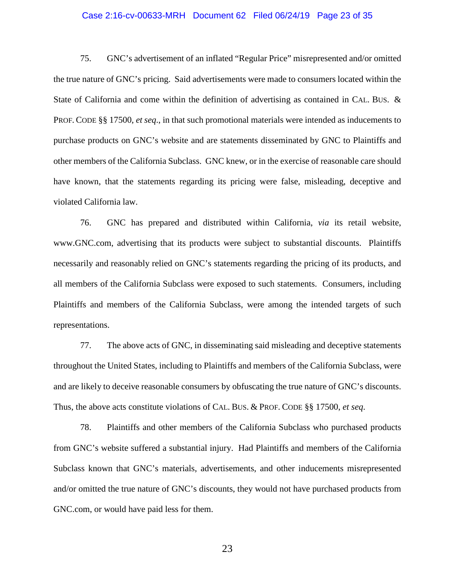### Case 2:16-cv-00633-MRH Document 62 Filed 06/24/19 Page 23 of 35

75. GNC's advertisement of an inflated "Regular Price" misrepresented and/or omitted the true nature of GNC's pricing. Said advertisements were made to consumers located within the State of California and come within the definition of advertising as contained in CAL. BUS. & PROF. CODE §§ 17500, *et seq*., in that such promotional materials were intended as inducements to purchase products on GNC's website and are statements disseminated by GNC to Plaintiffs and other members of the California Subclass. GNC knew, or in the exercise of reasonable care should have known, that the statements regarding its pricing were false, misleading, deceptive and violated California law.

76. GNC has prepared and distributed within California, *via* its retail website, www.GNC.com, advertising that its products were subject to substantial discounts. Plaintiffs necessarily and reasonably relied on GNC's statements regarding the pricing of its products, and all members of the California Subclass were exposed to such statements. Consumers, including Plaintiffs and members of the California Subclass, were among the intended targets of such representations.

77. The above acts of GNC, in disseminating said misleading and deceptive statements throughout the United States, including to Plaintiffs and members of the California Subclass, were and are likely to deceive reasonable consumers by obfuscating the true nature of GNC's discounts. Thus, the above acts constitute violations of CAL. BUS. & PROF. CODE §§ 17500, *et seq*.

78. Plaintiffs and other members of the California Subclass who purchased products from GNC's website suffered a substantial injury. Had Plaintiffs and members of the California Subclass known that GNC's materials, advertisements, and other inducements misrepresented and/or omitted the true nature of GNC's discounts, they would not have purchased products from GNC.com, or would have paid less for them.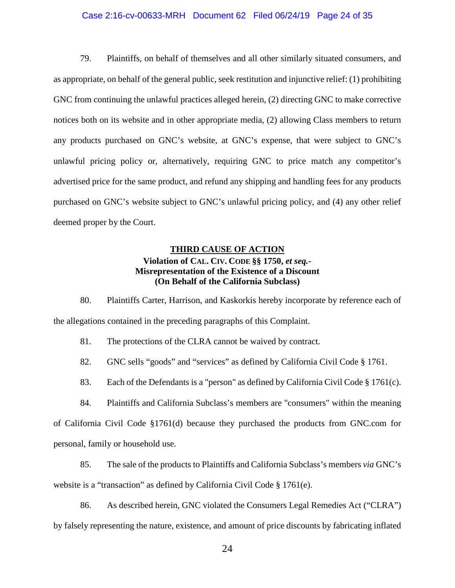## Case 2:16-cv-00633-MRH Document 62 Filed 06/24/19 Page 24 of 35

79. Plaintiffs, on behalf of themselves and all other similarly situated consumers, and as appropriate, on behalf of the general public, seek restitution and injunctive relief: (1) prohibiting GNC from continuing the unlawful practices alleged herein, (2) directing GNC to make corrective notices both on its website and in other appropriate media, (2) allowing Class members to return any products purchased on GNC's website, at GNC's expense, that were subject to GNC's unlawful pricing policy or, alternatively, requiring GNC to price match any competitor's advertised price for the same product, and refund any shipping and handling fees for any products purchased on GNC's website subject to GNC's unlawful pricing policy, and (4) any other relief deemed proper by the Court.

# **THIRD CAUSE OF ACTION Violation of CAL. CIV. CODE §§ 1750,** *et seq.-* **Misrepresentation of the Existence of a Discount (On Behalf of the California Subclass)**

80. Plaintiffs Carter, Harrison, and Kaskorkis hereby incorporate by reference each of the allegations contained in the preceding paragraphs of this Complaint.

81. The protections of the CLRA cannot be waived by contract.

82. GNC sells "goods" and "services" as defined by California Civil Code § 1761.

83. Each of the Defendants is a "person" as defined by California Civil Code § 1761(c).

84. Plaintiffs and California Subclass's members are "consumers" within the meaning of California Civil Code §1761(d) because they purchased the products from GNC.com for

personal, family or household use.

85. The sale of the products to Plaintiffs and California Subclass's members *via* GNC's website is a "transaction" as defined by California Civil Code § 1761(e).

86. As described herein, GNC violated the Consumers Legal Remedies Act ("CLRA") by falsely representing the nature, existence, and amount of price discounts by fabricating inflated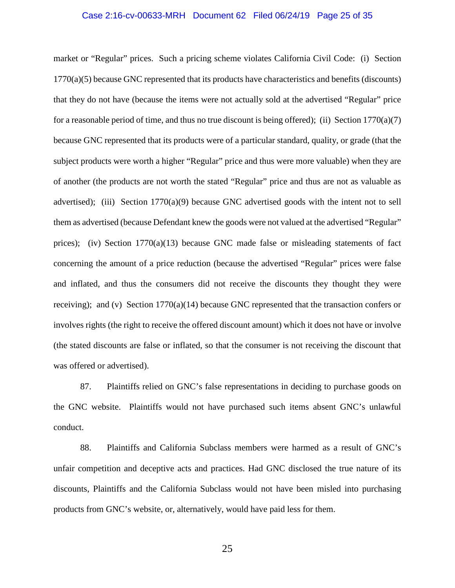### Case 2:16-cv-00633-MRH Document 62 Filed 06/24/19 Page 25 of 35

market or "Regular" prices. Such a pricing scheme violates California Civil Code: (i) Section 1770(a)(5) because GNC represented that its products have characteristics and benefits (discounts) that they do not have (because the items were not actually sold at the advertised "Regular" price for a reasonable period of time, and thus no true discount is being offered); (ii) Section  $1770(a)(7)$ because GNC represented that its products were of a particular standard, quality, or grade (that the subject products were worth a higher "Regular" price and thus were more valuable) when they are of another (the products are not worth the stated "Regular" price and thus are not as valuable as advertised); (iii) Section 1770(a)(9) because GNC advertised goods with the intent not to sell them as advertised (because Defendant knew the goods were not valued at the advertised "Regular" prices); (iv) Section  $1770(a)(13)$  because GNC made false or misleading statements of fact concerning the amount of a price reduction (because the advertised "Regular" prices were false and inflated, and thus the consumers did not receive the discounts they thought they were receiving); and (v) Section 1770(a)(14) because GNC represented that the transaction confers or involves rights (the right to receive the offered discount amount) which it does not have or involve (the stated discounts are false or inflated, so that the consumer is not receiving the discount that was offered or advertised).

87. Plaintiffs relied on GNC's false representations in deciding to purchase goods on the GNC website. Plaintiffs would not have purchased such items absent GNC's unlawful conduct.

88. Plaintiffs and California Subclass members were harmed as a result of GNC's unfair competition and deceptive acts and practices. Had GNC disclosed the true nature of its discounts, Plaintiffs and the California Subclass would not have been misled into purchasing products from GNC's website, or, alternatively, would have paid less for them.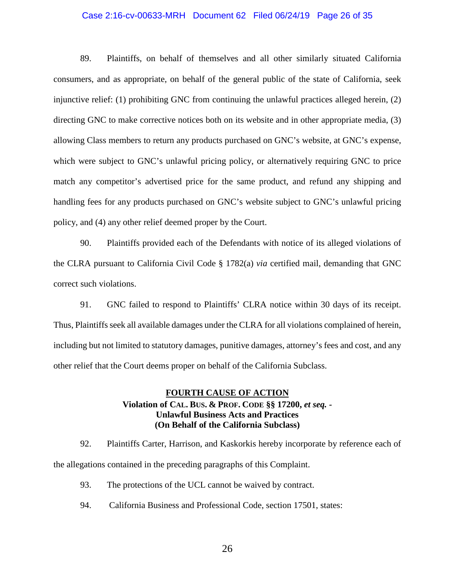#### Case 2:16-cv-00633-MRH Document 62 Filed 06/24/19 Page 26 of 35

89. Plaintiffs, on behalf of themselves and all other similarly situated California consumers, and as appropriate, on behalf of the general public of the state of California, seek injunctive relief: (1) prohibiting GNC from continuing the unlawful practices alleged herein, (2) directing GNC to make corrective notices both on its website and in other appropriate media, (3) allowing Class members to return any products purchased on GNC's website, at GNC's expense, which were subject to GNC's unlawful pricing policy, or alternatively requiring GNC to price match any competitor's advertised price for the same product, and refund any shipping and handling fees for any products purchased on GNC's website subject to GNC's unlawful pricing policy, and (4) any other relief deemed proper by the Court.

90. Plaintiffs provided each of the Defendants with notice of its alleged violations of the CLRA pursuant to California Civil Code § 1782(a) *via* certified mail, demanding that GNC correct such violations.

91. GNC failed to respond to Plaintiffs' CLRA notice within 30 days of its receipt. Thus, Plaintiffs seek all available damages under the CLRA for all violations complained of herein, including but not limited to statutory damages, punitive damages, attorney's fees and cost, and any other relief that the Court deems proper on behalf of the California Subclass.

## **FOURTH CAUSE OF ACTION Violation of CAL. BUS. & PROF. CODE §§ 17200,** *et seq. -* **Unlawful Business Acts and Practices (On Behalf of the California Subclass)**

92. Plaintiffs Carter, Harrison, and Kaskorkis hereby incorporate by reference each of the allegations contained in the preceding paragraphs of this Complaint.

- 93. The protections of the UCL cannot be waived by contract.
- 94. California Business and Professional Code, section 17501, states: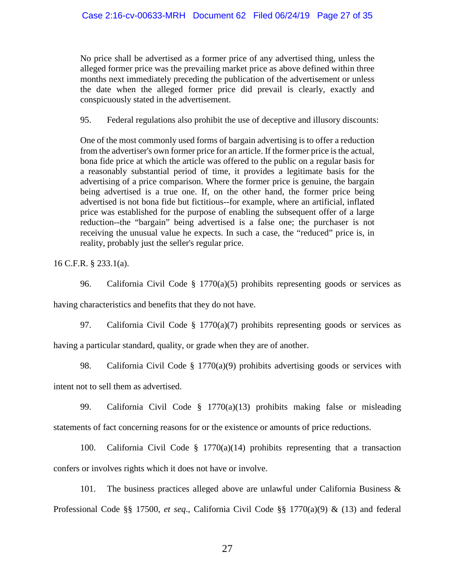No price shall be advertised as a former price of any advertised thing, unless the alleged former price was the prevailing market price as above defined within three months next immediately preceding the publication of the advertisement or unless the date when the alleged former price did prevail is clearly, exactly and conspicuously stated in the advertisement.

95. Federal regulations also prohibit the use of deceptive and illusory discounts:

One of the most commonly used forms of bargain advertising is to offer a reduction from the advertiser's own former price for an article. If the former price is the actual, bona fide price at which the article was offered to the public on a regular basis for a reasonably substantial period of time, it provides a legitimate basis for the advertising of a price comparison. Where the former price is genuine, the bargain being advertised is a true one. If, on the other hand, the former price being advertised is not bona fide but fictitious--for example, where an artificial, inflated price was established for the purpose of enabling the subsequent offer of a large reduction--the "bargain" being advertised is a false one; the purchaser is not receiving the unusual value he expects. In such a case, the "reduced" price is, in reality, probably just the seller's regular price.

16 C.F.R. § 233.1(a).

96. California Civil Code § 1770(a)(5) prohibits representing goods or services as

having characteristics and benefits that they do not have.

97. California Civil Code § 1770(a)(7) prohibits representing goods or services as having a particular standard, quality, or grade when they are of another.

98. California Civil Code § 1770(a)(9) prohibits advertising goods or services with

intent not to sell them as advertised.

99. California Civil Code § 1770(a)(13) prohibits making false or misleading statements of fact concerning reasons for or the existence or amounts of price reductions.

100. California Civil Code § 1770(a)(14) prohibits representing that a transaction confers or involves rights which it does not have or involve.

101. The business practices alleged above are unlawful under California Business & Professional Code §§ 17500, *et seq*., California Civil Code §§ 1770(a)(9) & (13) and federal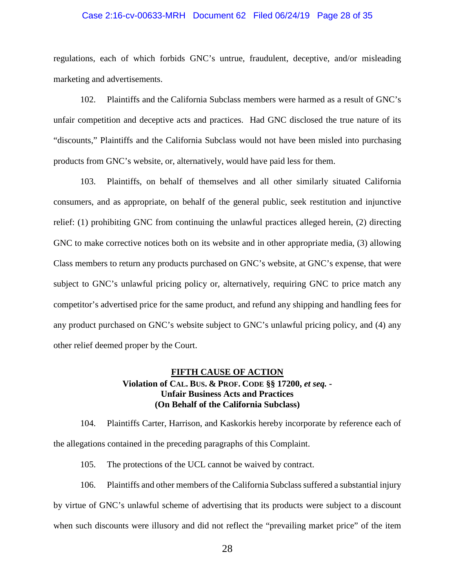### Case 2:16-cv-00633-MRH Document 62 Filed 06/24/19 Page 28 of 35

regulations, each of which forbids GNC's untrue, fraudulent, deceptive, and/or misleading marketing and advertisements.

102. Plaintiffs and the California Subclass members were harmed as a result of GNC's unfair competition and deceptive acts and practices. Had GNC disclosed the true nature of its "discounts," Plaintiffs and the California Subclass would not have been misled into purchasing products from GNC's website, or, alternatively, would have paid less for them.

103. Plaintiffs, on behalf of themselves and all other similarly situated California consumers, and as appropriate, on behalf of the general public, seek restitution and injunctive relief: (1) prohibiting GNC from continuing the unlawful practices alleged herein, (2) directing GNC to make corrective notices both on its website and in other appropriate media, (3) allowing Class members to return any products purchased on GNC's website, at GNC's expense, that were subject to GNC's unlawful pricing policy or, alternatively, requiring GNC to price match any competitor's advertised price for the same product, and refund any shipping and handling fees for any product purchased on GNC's website subject to GNC's unlawful pricing policy, and (4) any other relief deemed proper by the Court.

# **FIFTH CAUSE OF ACTION Violation of CAL. BUS. & PROF. CODE §§ 17200,** *et seq. -* **Unfair Business Acts and Practices (On Behalf of the California Subclass)**

104. Plaintiffs Carter, Harrison, and Kaskorkis hereby incorporate by reference each of the allegations contained in the preceding paragraphs of this Complaint.

105. The protections of the UCL cannot be waived by contract.

106. Plaintiffs and other members of the California Subclass suffered a substantial injury by virtue of GNC's unlawful scheme of advertising that its products were subject to a discount when such discounts were illusory and did not reflect the "prevailing market price" of the item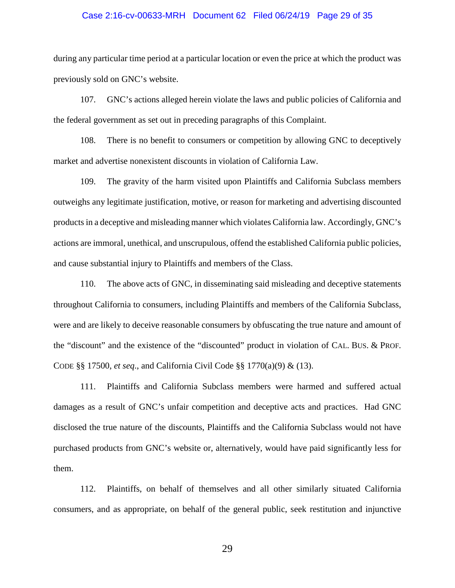### Case 2:16-cv-00633-MRH Document 62 Filed 06/24/19 Page 29 of 35

during any particular time period at a particular location or even the price at which the product was previously sold on GNC's website.

107. GNC's actions alleged herein violate the laws and public policies of California and the federal government as set out in preceding paragraphs of this Complaint.

108. There is no benefit to consumers or competition by allowing GNC to deceptively market and advertise nonexistent discounts in violation of California Law.

109. The gravity of the harm visited upon Plaintiffs and California Subclass members outweighs any legitimate justification, motive, or reason for marketing and advertising discounted products in a deceptive and misleading manner which violates California law. Accordingly, GNC's actions are immoral, unethical, and unscrupulous, offend the established California public policies, and cause substantial injury to Plaintiffs and members of the Class.

110. The above acts of GNC, in disseminating said misleading and deceptive statements throughout California to consumers, including Plaintiffs and members of the California Subclass, were and are likely to deceive reasonable consumers by obfuscating the true nature and amount of the "discount" and the existence of the "discounted" product in violation of CAL. BUS. & PROF. CODE §§ 17500, *et seq*., and California Civil Code §§ 1770(a)(9) & (13).

111. Plaintiffs and California Subclass members were harmed and suffered actual damages as a result of GNC's unfair competition and deceptive acts and practices. Had GNC disclosed the true nature of the discounts, Plaintiffs and the California Subclass would not have purchased products from GNC's website or, alternatively, would have paid significantly less for them.

112. Plaintiffs, on behalf of themselves and all other similarly situated California consumers, and as appropriate, on behalf of the general public, seek restitution and injunctive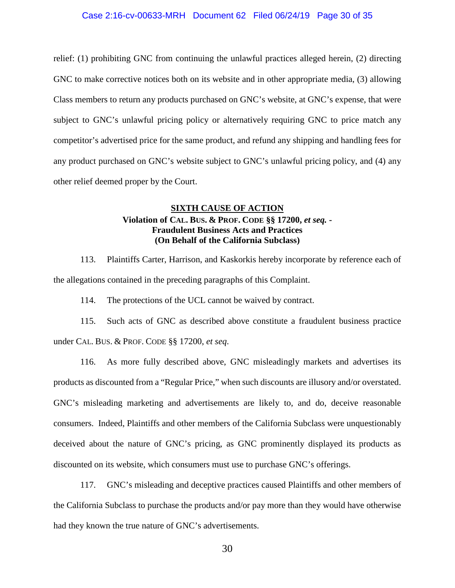#### Case 2:16-cv-00633-MRH Document 62 Filed 06/24/19 Page 30 of 35

relief: (1) prohibiting GNC from continuing the unlawful practices alleged herein, (2) directing GNC to make corrective notices both on its website and in other appropriate media, (3) allowing Class members to return any products purchased on GNC's website, at GNC's expense, that were subject to GNC's unlawful pricing policy or alternatively requiring GNC to price match any competitor's advertised price for the same product, and refund any shipping and handling fees for any product purchased on GNC's website subject to GNC's unlawful pricing policy, and (4) any other relief deemed proper by the Court.

# **SIXTH CAUSE OF ACTION Violation of CAL. BUS. & PROF. CODE §§ 17200,** *et seq. -* **Fraudulent Business Acts and Practices (On Behalf of the California Subclass)**

113. Plaintiffs Carter, Harrison, and Kaskorkis hereby incorporate by reference each of the allegations contained in the preceding paragraphs of this Complaint.

114. The protections of the UCL cannot be waived by contract.

115. Such acts of GNC as described above constitute a fraudulent business practice under CAL. BUS. & PROF. CODE §§ 17200, *et seq*.

116. As more fully described above, GNC misleadingly markets and advertises its products as discounted from a "Regular Price," when such discounts are illusory and/or overstated. GNC's misleading marketing and advertisements are likely to, and do, deceive reasonable consumers. Indeed, Plaintiffs and other members of the California Subclass were unquestionably deceived about the nature of GNC's pricing, as GNC prominently displayed its products as discounted on its website, which consumers must use to purchase GNC's offerings.

117. GNC's misleading and deceptive practices caused Plaintiffs and other members of the California Subclass to purchase the products and/or pay more than they would have otherwise had they known the true nature of GNC's advertisements.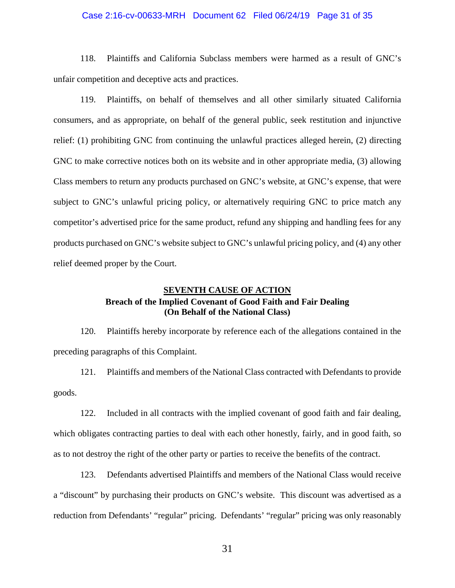### Case 2:16-cv-00633-MRH Document 62 Filed 06/24/19 Page 31 of 35

118. Plaintiffs and California Subclass members were harmed as a result of GNC's unfair competition and deceptive acts and practices.

119. Plaintiffs, on behalf of themselves and all other similarly situated California consumers, and as appropriate, on behalf of the general public, seek restitution and injunctive relief: (1) prohibiting GNC from continuing the unlawful practices alleged herein, (2) directing GNC to make corrective notices both on its website and in other appropriate media, (3) allowing Class members to return any products purchased on GNC's website, at GNC's expense, that were subject to GNC's unlawful pricing policy, or alternatively requiring GNC to price match any competitor's advertised price for the same product, refund any shipping and handling fees for any products purchased on GNC's website subject to GNC's unlawful pricing policy, and (4) any other relief deemed proper by the Court.

# **SEVENTH CAUSE OF ACTION Breach of the Implied Covenant of Good Faith and Fair Dealing (On Behalf of the National Class)**

120. Plaintiffs hereby incorporate by reference each of the allegations contained in the preceding paragraphs of this Complaint.

121. Plaintiffs and members of the National Class contracted with Defendants to provide goods.

122. Included in all contracts with the implied covenant of good faith and fair dealing, which obligates contracting parties to deal with each other honestly, fairly, and in good faith, so as to not destroy the right of the other party or parties to receive the benefits of the contract.

123. Defendants advertised Plaintiffs and members of the National Class would receive a "discount" by purchasing their products on GNC's website. This discount was advertised as a reduction from Defendants' "regular" pricing. Defendants' "regular" pricing was only reasonably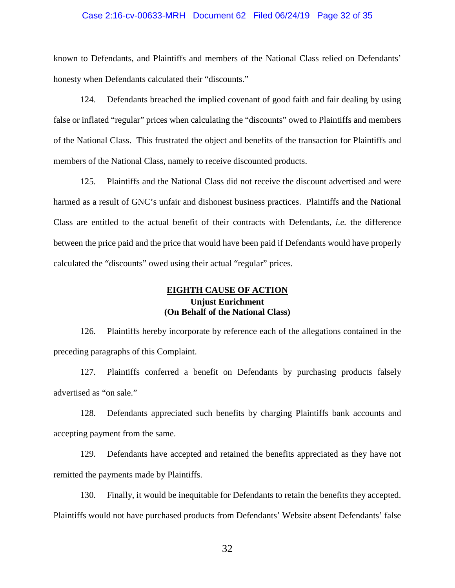### Case 2:16-cv-00633-MRH Document 62 Filed 06/24/19 Page 32 of 35

known to Defendants, and Plaintiffs and members of the National Class relied on Defendants' honesty when Defendants calculated their "discounts."

124. Defendants breached the implied covenant of good faith and fair dealing by using false or inflated "regular" prices when calculating the "discounts" owed to Plaintiffs and members of the National Class. This frustrated the object and benefits of the transaction for Plaintiffs and members of the National Class, namely to receive discounted products.

125. Plaintiffs and the National Class did not receive the discount advertised and were harmed as a result of GNC's unfair and dishonest business practices. Plaintiffs and the National Class are entitled to the actual benefit of their contracts with Defendants, *i.e.* the difference between the price paid and the price that would have been paid if Defendants would have properly calculated the "discounts" owed using their actual "regular" prices.

## **EIGHTH CAUSE OF ACTION Unjust Enrichment (On Behalf of the National Class)**

126. Plaintiffs hereby incorporate by reference each of the allegations contained in the preceding paragraphs of this Complaint.

127. Plaintiffs conferred a benefit on Defendants by purchasing products falsely advertised as "on sale."

128. Defendants appreciated such benefits by charging Plaintiffs bank accounts and accepting payment from the same.

129. Defendants have accepted and retained the benefits appreciated as they have not remitted the payments made by Plaintiffs.

130. Finally, it would be inequitable for Defendants to retain the benefits they accepted. Plaintiffs would not have purchased products from Defendants' Website absent Defendants' false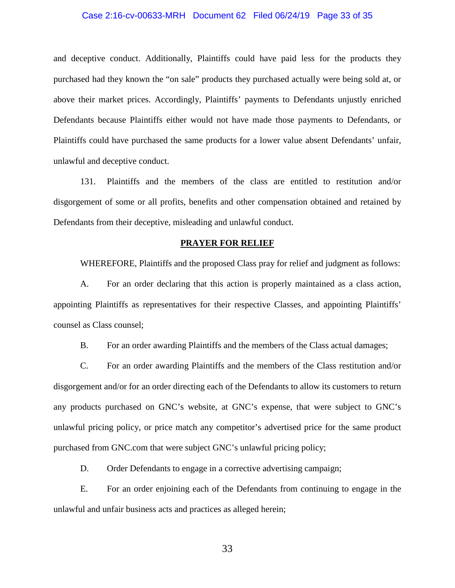### Case 2:16-cv-00633-MRH Document 62 Filed 06/24/19 Page 33 of 35

and deceptive conduct. Additionally, Plaintiffs could have paid less for the products they purchased had they known the "on sale" products they purchased actually were being sold at, or above their market prices. Accordingly, Plaintiffs' payments to Defendants unjustly enriched Defendants because Plaintiffs either would not have made those payments to Defendants, or Plaintiffs could have purchased the same products for a lower value absent Defendants' unfair, unlawful and deceptive conduct.

131. Plaintiffs and the members of the class are entitled to restitution and/or disgorgement of some or all profits, benefits and other compensation obtained and retained by Defendants from their deceptive, misleading and unlawful conduct.

#### **PRAYER FOR RELIEF**

WHEREFORE, Plaintiffs and the proposed Class pray for relief and judgment as follows:

A. For an order declaring that this action is properly maintained as a class action, appointing Plaintiffs as representatives for their respective Classes, and appointing Plaintiffs' counsel as Class counsel;

B. For an order awarding Plaintiffs and the members of the Class actual damages;

C. For an order awarding Plaintiffs and the members of the Class restitution and/or disgorgement and/or for an order directing each of the Defendants to allow its customers to return any products purchased on GNC's website, at GNC's expense, that were subject to GNC's unlawful pricing policy, or price match any competitor's advertised price for the same product purchased from GNC.com that were subject GNC's unlawful pricing policy;

D. Order Defendants to engage in a corrective advertising campaign;

E. For an order enjoining each of the Defendants from continuing to engage in the unlawful and unfair business acts and practices as alleged herein;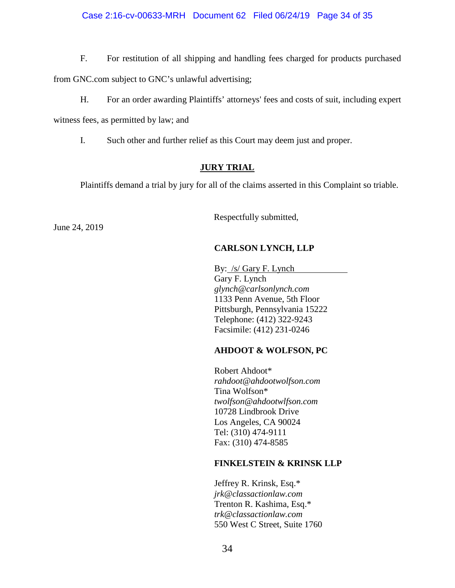### Case 2:16-cv-00633-MRH Document 62 Filed 06/24/19 Page 34 of 35

F. For restitution of all shipping and handling fees charged for products purchased from GNC.com subject to GNC's unlawful advertising;

H. For an order awarding Plaintiffs' attorneys' fees and costs of suit, including expert witness fees, as permitted by law; and

I. Such other and further relief as this Court may deem just and proper.

## **JURY TRIAL**

Plaintiffs demand a trial by jury for all of the claims asserted in this Complaint so triable.

June 24, 2019

Respectfully submitted,

# **CARLSON LYNCH, LLP**

By: /s/ Gary F. Lynch Gary F. Lynch *glynch@carlsonlynch.com*  1133 Penn Avenue, 5th Floor Pittsburgh, Pennsylvania 15222 Telephone: (412) 322-9243 Facsimile: (412) 231-0246

# **AHDOOT & WOLFSON, PC**

Robert Ahdoot\* *rahdoot@ahdootwolfson.com* Tina Wolfson\* *twolfson@ahdootwlfson.com* 10728 Lindbrook Drive Los Angeles, CA 90024 Tel: (310) 474-9111 Fax: (310) 474-8585

# **FINKELSTEIN & KRINSK LLP**

Jeffrey R. Krinsk, Esq.\* *jrk@classactionlaw.com* Trenton R. Kashima, Esq.\* *trk@classactionlaw.com*  550 West C Street, Suite 1760